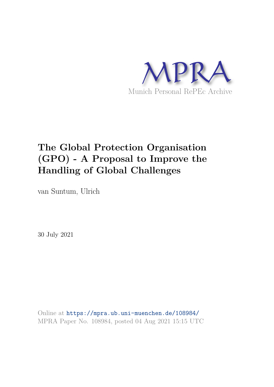

# **The Global Protection Organisation (GPO) - A Proposal to Improve the Handling of Global Challenges**

van Suntum, Ulrich

30 July 2021

Online at https://mpra.ub.uni-muenchen.de/108984/ MPRA Paper No. 108984, posted 04 Aug 2021 15:15 UTC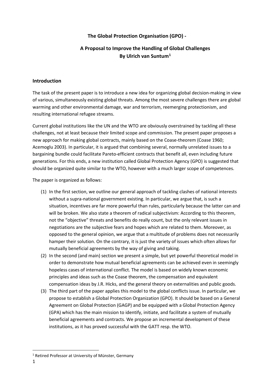# **The Global Protection Organisation (GPO) -**

# **A Proposal to Improve the Handling of Global Challenges By Ulrich van Suntum[1](#page-1-0)**

#### **Introduction**

The task of the present paper is to introduce a new idea for organizing global decision-making in view of various, simultaneously existing global threats. Among the most severe challenges there are global warming and other environmental damage, war and terrorism, reemerging protectionism, and resulting international refugee streams.

Current global institutions like the UN and the WTO are obviously overstrained by tackling all these challenges, not at least because their limited scope and commission. The present paper proposes a new approach for making global contracts, mainly based on the Coase-theorem (Coase 1960; Acemoglu 2003). In particular, it is argued that combining several, normally unrelated issues to a bargaining bundle could facilitate Pareto-efficient contracts that benefit all, even including future generations. For this ends, a new institution called Global Protection Agency (GPO) is suggested that should be organized quite similar to the WTO, however with a much larger scope of competences.

The paper is organized as follows:

- (1) In the first section, we outline our general approach of tackling clashes of national interests without a supra-national government existing. In particular, we argue that, is such a situation, incentives are far more powerful than rules, particularly because the latter can and will be broken. We also state a theorem of radical subjectivism: According to this theorem, not the "objective" threats and benefits do really count, but the only relevant issues in negotiations are the subjective fears and hopes which are related to them. Moreover, as opposed to the general opinion, we argue that a multitude of problems does not necessarily hamper their solution. On the contrary, it is just the variety of issues which often allows for mutually beneficial agreements by the way of giving and taking.
- (2) In the second (and main) section we present a simple, but yet powerful theoretical model in order to demonstrate how mutual beneficial agreements can be achieved even in seemingly hopeless cases of international conflict. The model is based on widely known economic principles and ideas such as the Coase theorem, the compensation and equivalent compensation ideas by J.R. Hicks, and the general theory on externalities and public goods.
- (3) The third part of the paper applies this model to the global conflicts issue. In particular, we propose to establish a Global Protection Organization (GPO). It should be based on a General Agreement on Global Protection (GAGP) and be equipped with a Global Protection Agency (GPA) which has the main mission to identify, initiate, and facilitate a system of mutually beneficial agreements and contracts. We propose an incremental development of these institutions, as it has proved successful with the GATT resp. the WTO.

 $\overline{\phantom{a}}$ 

<span id="page-1-0"></span><sup>&</sup>lt;sup>1</sup> Retired Professor at University of Münster, Germany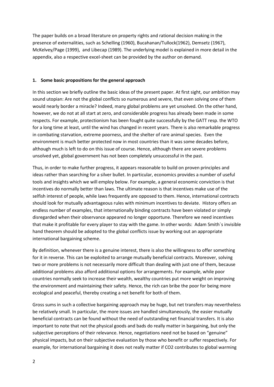The paper builds on a broad literature on property rights and rational decision making in the presence of externalities, such as Schelling (1960), Bucahanan/Tullock(1962), Demsetz (1967), McKelvey/Page (1999), and Libecap (1989). The underlying model is explained in more detail in the appendix, also a respective excel-sheet can be provided by the author on demand.

#### **1. Some basic propositions for the general approach**

In this section we briefly outline the basic ideas of the present paper. At first sight, our ambition may sound utopian: Are not the global conflicts so numerous and severe, that even solving one of them would nearly border a miracle? Indeed, many global problems are yet unsolved. On the other hand, however, we do not at all start at zero, and considerable progress has already been made in some respects. For example, protectionism has been fought quite successfully by the GATT resp. the WTO for a long time at least, until the wind has changed in recent years. There is also remarkable progress in combating starvation, extreme poorness, and the shelter of rare animal species. Even the environment is much better protected now in most countries than it was some decades before, although much is left to do on this issue of course. Hence, although there are severe problems unsolved yet, global government has not been completely unsuccessful in the past.

Thus, in order to make further progress, it appears reasonable to build on proven principles and ideas rather than searching for a silver bullet. In particular, economics provides a number of useful tools and insights which we will employ below. For example, a general economic conviction is that incentives do normally better than laws. The ultimate reason is that incentives make use of the selfish interest of people, while laws frequently are opposed to them. Hence, international contracts should look for mutually advantageous rules with minimum incentives to deviate. History offers an endless number of examples, that internationally binding contracts have been violated or simply disregarded when their observance appeared no longer opportune. Therefore we need incentives that make it profitable for every player to stay with the game. In other words: Adam Smith`s invisible hand theorem should be adopted to the global conflicts issue by working out an appropriate international bargaining scheme.

By definition, whenever there is a genuine interest, there is also the willingness to offer something for it in reverse. This can be exploited to arrange mutually beneficial contracts. Moreover, solving two or more problems is not necessarily more difficult than dealing with just one of them, because additional problems also afford additional options for arrangements. For example, while poor countries normally seek to increase their wealth, wealthy countries put more weight on improving the environment and maintaining their safety. Hence, the rich can bribe the poor for being more ecological and peaceful, thereby creating a net benefit for both of them.

Gross sums in such a collective bargaining approach may be huge, but net transfers may nevertheless be relatively small. In particular, the more issues are handled simultaneously, the easier mutually beneficial contracts can be found without the need of outstanding net financial transfers. It is also important to note that not the physical goods and bads do really matter in bargaining, but only the subjective perceptions of their relevance. Hence, negotiations need not be based on "genuine" physical impacts, but on their subjective evaluation by those who benefit or suffer respectively. For example, for international bargaining it does not really matter if CO2 contributes to global warming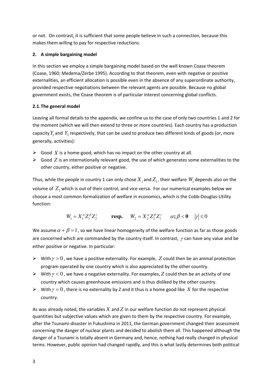or not. On contrast, it is sufficient that some people believe in such a connection, because this makes them willing to pay for respective reductions.

# **2. A simple bargaining model**

In this section we employ a simple bargaining model based on the well known Coase theorem (Coase, 1960; Medema/Zerbe 1995). According to that theorem, even with negative or positive externalities, an efficient allocation is possible even in the absence of any superordinate authority, provided respective negotiations between the relevant agents are possible. Because no global government exists, the Coase theorem is of particular interest concerning global conflicts.

# **2.1.The general model**

Leaving all formal details to the appendix, we confine us to the case of only two countries 1 and 2 for the moment (which we will then extend to three or more countries). Each country has a production capacity  $Y_1$  and  $Y_2$  respectively, that can be used to produce two different kinds of goods (or, more generally, activities):

- $\triangleright$  Good X is a home-good, which has no impact on the other country at all.
- $\triangleright$  Good *Z* is an internationally relevant good, the use of which generates some externalities to the other country, either positive or negative.

Thus, while the people in country 1 can only chose  $X_1$  and  $Z_1$  , their welfare  $W_1$  depends also on the volume of  $Z_2$  which is out of their control, and vice versa. For our numerical examples below we choose a most common formalization of welfare in economics, which is the Cobb-Douglas-Utility function:

$$
W_1 = X_1^{\alpha} Z_1^{\beta} Z_2^{\gamma} \qquad \text{resp.} \qquad W_2 = X_2^{\alpha} Z_2^{\beta} Z_1^{\gamma} \qquad \alpha; \beta < 0 \qquad |\gamma| \le 0
$$

We assume  $\alpha + \beta = 1$ , so we have linear homogeneity of the welfare function as far as those goods are concerned which are commanded by the country itself. In contrast,  $\gamma$  can have any value and be either positive or negative. In particular:

- $▶$  With  $\gamma > 0$ , we have a positive externality. For example, *Z* could then be an animal protection program operated by one country which is also appreciated by the other country.
- $▶$  With  $\gamma$  < 0, we have a negative externality. For examples, Z could then be an activity of one country which causes greenhouse emissions and is thus disliked by the other country.
- $\triangleright$  With  $\gamma = 0$ , there is no externality by Z and it thus is a home good like X for the respective country.

As was already noted, the variables *X* and *Z* in our welfare function do not represent physical quantities but subjective values which are given to them by the respective country. For example, after the Tsunami-disaster in Fukushima in 2011, the German government changed their assessment concerning the danger of nuclear plants and decided to abolish them all. This happened although the danger of a Tsunami is totally absent in Germany and, hence, nothing had really changed in physical terms. However, public opinion had changed rapidly, and this is what lastly determines both political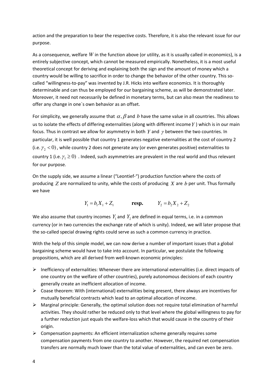action and the preparation to bear the respective costs. Therefore, it is also the relevant issue for our purpose.

As a consequence, welfare *W* in the function above (or utility, as it is usually called in economics), is a entirely subjective concept, which cannot be measured empirically. Nonetheless, it is a most useful theoretical concept for deriving and explaining both the sign and the amount of money which a country would be willing to sacrifice in order to change the behavior of the other country. This socalled "willingness-to-pay" was invented by J.R. Hicks into welfare economics. It is thoroughly determinable and can thus be employed for our bargaining scheme, as will be demonstrated later. Moreover, it need not necessarily be defined in monetary terms, but can also mean the readiness to offer any change in one`s own behavior as an offset.

For simplicity, we generally assume that  $\alpha$ ,  $\beta$  and  $b$  have the same value in all countries. This allows us to isolate the effects of differing externalities (along with different income*Y* ) which is in our main focus. Thus in contrast we allow for asymmetry in both *Y* and <sup>γ</sup> between the two countries. In particular, it is well possible that country 1 generates negative externalities at the cost of country 2 (i.e.  $\gamma$ <sub>2</sub> < 0), while country 2 does not generate any (or even generates positive) externalities to country 1 (i.e.  $\gamma_1 \ge 0$ ). Indeed, such asymmetries are prevalent in the real world and thus relevant for our purpose.

On the supply side, we assume a linear ("Leontief-") production function where the costs of producing *Z* are normalized to unity, while the costs of producing *X* are *b* per unit. Thus formally we have

$$
Y_1 = b_1 X_1 + Z_1
$$
 **resp.**  $Y_2 = b_2 X_2 + Z_2$ 

We also assume that country incomes  $Y_1$  and  $Y_2$  are defined in equal terms, i.e. in a common currency (or in two currencies the exchange rate of which is unity). Indeed, we will later propose that the so-called special drawing rights could serve as such a common currency in practice.

With the help of this simple model, we can now derive a number of important issues that a global bargaining scheme would have to take into account. In particular, we postulate the following propositions, which are all derived from well-known economic principles:

- $\triangleright$  Inefficiency of externalities: Whenever there are international externalities (i.e. direct impacts of one country on the welfare of other countries), purely autonomous decisions of each country generally create an inefficient allocation of income.
- $\triangleright$  Coase theorem: With (international) externalities being present, there always are incentives for mutually beneficial contracts which lead to an optimal allocation of income.
- $\triangleright$  Marginal principle: Generally, the optimal solution does not require total elimination of harmful activities. They should rather be reduced only to that level where the global willingness to pay for a further reduction just equals the welfare-loss which that would cause in the country of their origin.
- $\triangleright$  Compensation payments: An efficient internalization scheme generally requires some compensation payments from one country to another. However, the required net compensation transfers are normally much lower than the total value of externalities, and can even be zero.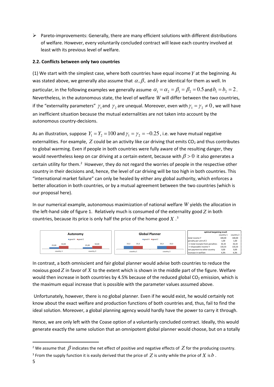$\triangleright$  Pareto-improvements: Generally, there are many efficient solutions with different distributions of welfare. However, every voluntarily concluded contract will leave each country involved at least with its previous level of welfare.

### **2.2. Conflicts between only two countries**

(1) We start with the simplest case, where both countries have equal income*Y* at the beginning. As was stated above, we generally also assume that  $\alpha$ ,  $\beta$ , and *b* are identical for them as well. In particular, in the following examples we generally assume  $\alpha_1 = \alpha_2 = \beta_1 = \beta_2 = 0.5$  and  $b_1 = b_2 = 2$ . Nevertheless, in the autonomous state, the level of welfare *W* will differ between the two countries, if the "externality parameters"  $\gamma_1$  and  $\gamma_2$  are unequal. Moreover, even with  $\gamma_1$  =  $\gamma_2$   $\neq$   $0$  , we will have an inefficient situation because the mutual externalities are not taken into account by the autonomous country-decisions.

As an illustration, suppose  $Y_1 = Y_2 = 100$  and  $\gamma_1 = \gamma_2 = -0.25$  , i.e. we have mutual negative externalities. For example,  $Z$  could be an activity like car driving that emits  $CO<sub>2</sub>$  and thus contributes to global warming. Even if people in both countries were fully aware of the resulting danger, they would nevertheless keep on car driving at a certain extent, because with  $\beta > 0$  it also generates a certain utility for them.<sup>[2](#page-5-0)</sup> However, they do not regard the worries of people in the respective other country in their decisions and, hence, the level of car driving will be too high in both countries. This "international market failure" can only be healed by either any global authority, which enforces a better allocation in both countries, or by a mutual agreement between the two countries (which is our proposal here).

In our numerical example, autonomous maximization of national welfare *W* yields the allocation in the left-hand side of figure 1. Relatively much is consumed of the externality good *Z* in both countries, because its price is only half the price of the home good  $X$  .<sup>[3](#page-5-1)</sup>



In contrast, a both omniscient and fair global planner would advise both countries to reduce the noxious good *Z* in favor of *X* to the extent which is shown in the middle part of the figure. Welfare would then increase in both countries by 4.5% because of the reduced global  $CO<sub>2</sub>$  emission, which is the maximum equal increase that is possible with the parameter values assumed above.

Unfortunately, however, there is no global planner. Even if he would exist, he would certainly not know about the exact welfare and production functions of both countries and, thus, fail to find the ideal solution. Moreover, a global planning agency would hardly have the power to carry it through.

Hence, we are only left with the Coase option of a voluntarily concluded contract. Ideally, this would generate exactly the same solution that an omnipotent global planner would choose, but on a totally

l

<span id="page-5-0"></span><sup>&</sup>lt;sup>2</sup> We assume that  $\beta$  indicates the net effect of positive and negative effects of  $Z$  for the producing country.

<span id="page-5-1"></span><sup>&</sup>lt;sup>3</sup> From the supply function it is easily derived that the price of  $Z$  is unity while the price of  $X$  is  $b$  .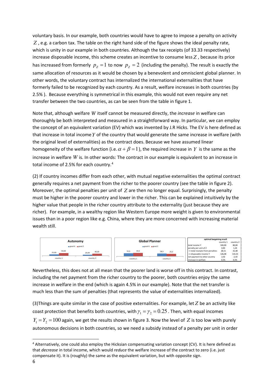voluntary basis. In our example, both countries would have to agree to impose a penalty on activity *Z* , e.g. a carbon tax. The table on the right hand side of the figure shows the ideal penalty rate, which is unity in our example in both countries. Although the tax receipts (of 33.33 respectively) increase disposable income, this scheme creates an incentive to consume less *Z* , because its price has increased from formerly  $p_z = 1$  to now  $p_z = 2$  (including the penalty). The result is exactly the same allocation of resources as it would be chosen by a benevolent and omniscient global planner. In other words, the voluntary contract has internalized the international externalities that have formerly failed to be recognized by each country. As a result, welfare increases in both countries (by 2.5% ). Because everything is symmetrical in this example, this would not even require any net transfer between the two countries, as can be seen from the table in figure 1.

Note that, although welfare *W* itself cannot be measured directly, the *increase* in welfare can thoroughly be both interpreted and measured in a straightforward way. In particular, we can employ the concept of an equivalent variation (EV) which was invented by J.R Hicks. The EV is here defined as that increase in total income*Y* of the country that would generate the same increase in welfare (with the original level of externalities) as the contract does. Because we have assumed linear homogeneity of the welfare function (i.e.  $\alpha + \beta = 1$ ), the required increase in *Y* is the same as the increase in welfare *W* is. In other words: The contract in our example is equivalent to an increase in total income of 2.5% for each country.[4](#page-6-0)

(2) If country incomes differ from each other, with mutual negative externalities the optimal contract generally requires a net payment from the richer to the poorer country (see the table in figure 2). Moreover, the optimal penalties per unit of *Z* are then no longer equal. Surprisingly, the penalty must be higher in the poorer country and lower in the richer. This can be explained intuitively by the higher value that people in the richer country attribute to the externality (just because they are richer). For example, in a wealthy region like Western Europe more weight is given to environmental issues than in a poor region like e.g. China, where they are more concerned with increasing material wealth still.



Nevertheless, this does not at all mean that the poorer land is worse off in this contract. In contrast, including the net payment from the richer country to the poorer, both countries enjoy the same increase in welfare in the end (which is again 4.5% in our example). Note that the net transfer is much less than the sum of penalties (that represents the value of externalities internalized).

(3)Things are quite similar in the case of positive externalities. For example, let *Z* be an activity like coast protection that benefits both countries, with  $\gamma_1 = \gamma_2 = 0.25$ . Then, with equal incomes  $Y_1 = Y_2 = 100$  again, we get the results shown in figure 3. Now the level of Z is too low with purely autonomous decisions in both countries, so we need a subsidy instead of a penalty per unit in order

 $\overline{\phantom{a}}$ 

<span id="page-6-0"></span><sup>4</sup> Alternatively, one could also employ the Hicksian compensating variation concept (CV). It is here defined as that *decrease* in total income, which would *reduce* the welfare increase of the contract to zero (i.e. just compensate it). It is (roughly) the same as the equivalent variation, but with opposite sign.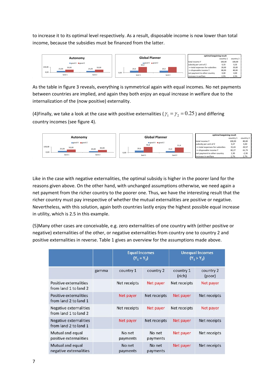to increase it to its optimal level respectively. As a result, disposable income is now lower than total income, because the subsidies must be financed from the latter.



As the table in figure 3 reveals, everything is symmetrical again with equal incomes. No net payments between countries are implied, and again they both enjoy an equal increase in welfare due to the internalization of the (now positive) externality.

(4)Finally, we take a look at the case with positive externalities ( $\gamma_1 = \gamma_2 = 0.25$ ) and differing country incomes (see figure 4).



Like in the case with negative externalities, the optimal subsidy is higher in the poorer land for the reasons given above. On the other hand, with unchanged assumptions otherwise, we need again a net payment from the richer country to the poorer one. Thus, we have the interesting result that the richer country must pay irrespective of whether the mutual externalities are positive or negative. Nevertheless, with this solution, again both countries lastly enjoy the highest possible equal increase in utility, which is 2.5 in this example.

(5)Many other cases are conceivable, e.g. zero externalities of one country with (either positive or negative) externalities of the other, or negative externalities from country one to country 2 and positive externalities in reverse. Table 1 gives an overview for the assumptions made above.

|                                                 |       | <b>Equal Incomes</b><br>$(Y_1 = Y_2)$ |                    | <b>Unequal Incomes</b><br>$(Y_1 > Y_2)$ |                     |
|-------------------------------------------------|-------|---------------------------------------|--------------------|-----------------------------------------|---------------------|
|                                                 | gamma | country 1                             | country 2          | country 1<br>(rich)                     | country 2<br>(poor) |
| Positive externalities<br>from land 1 to land 2 |       | Net receipts                          | Net payer          | Net receipts                            | Net payer           |
| Positive externalities<br>from land 2 to land 1 |       | Net payer                             | Net receipts       | Net payer                               | Net receipts        |
| Negative externalities<br>from land 1 to land 2 |       | Net receipts                          | Net payer          | Net receipts                            | Net payer           |
| Negative externalities<br>from land 2 to land 1 |       | Net payer                             | Net receipts       | Net payer                               | Net receipts        |
| Mutual and equal<br>positive externalities      |       | No net<br>payments                    | No net<br>payments | Net payer                               | Net receipts        |
| Mutual and equal<br>negative externalities      |       | No net<br>payments                    | No net<br>payments | Net payer                               | Net receipts        |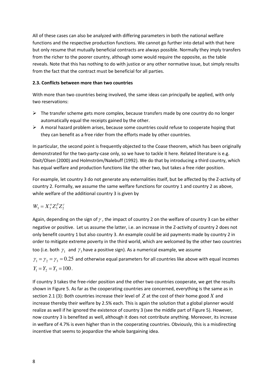All of these cases can also be analyzed with differing parameters in both the national welfare functions and the respective production functions. We cannot go further into detail with that here but only resume that mutually beneficial contracts are always possible. Normally they imply transfers from the richer to the poorer country, although some would require the opposite, as the table reveals. Note that this has nothing to do with justice or any other normative issue, but simply results from the fact that the contract must be beneficial for all parties.

#### **2.3. Conflicts between more than two countries**

With more than two countries being involved, the same ideas can principally be applied, with only two reservations:

- $\triangleright$  The transfer scheme gets more complex, because transfers made by one country do no longer automatically equal the receipts gained by the other.
- $\triangleright$  A moral hazard problem arises, because some countries could refuse to cooperate hoping that they can benefit as a free rider from the efforts made by other countries.

In particular, the second point is frequently objected to the Coase theorem, which has been originally demonstrated for the two-party-case only, so we have to tackle it here. Related literature is e.g. Dixit/Olsen (2000) and Holmström/Nalebuff (1992). We do that by introducing a third country, which has equal welfare and production functions like the other two, but takes a free rider position.

For example, let country 3 do not generate any externalities itself, but be affected by the Z-activity of country 2. Formally, we assume the same welfare functions for country 1 and country 2 as above, while welfare of the additional country 3 is given by

$$
W_3 = X_3^{\alpha} Z_3^{\beta} Z_2^{\gamma}
$$

Again, depending on the sign of  $\gamma$ , the impact of country 2 on the welfare of country 3 can be either negative or positive. Let us assume the latter, i.e. an increase in the Z-activity of country 2 does not only benefit country 1 but also country 3. An example could be aid payments made by country 2 in order to mitigate extreme poverty in the third world, which are welcomed by the other two countries too (i.e. both  $\gamma_1^-$  and  $\gamma_3$  have a positive sign). As a numerical example, we assume

 $\gamma_1 = \gamma_2 = \gamma_3 = 0.25$  and otherwise equal parameters for all countries like above with equal incomes  $Y_1 = Y_2 = Y_3 = 100$ .

If country 3 takes the free-rider position and the other two countries cooperate, we get the results shown in Figure 5. As far as the cooperating countries are concerned, everything is the same as in section 2.1 (3): Both countries increase their level of *Z* at the cost of their home good *X* and increase thereby their welfare by 2.5% each. This is again the solution that a global planner would realize as well if he ignored the existence of country 3 (see the middle part of Figure 5). However, now country 3 is benefited as well, although it does not contribute anything. Moreover, its increase in welfare of 4.7% is even higher than in the cooperating countries. Obviously, this is a misdirecting incentive that seems to jeopardize the whole bargaining idea.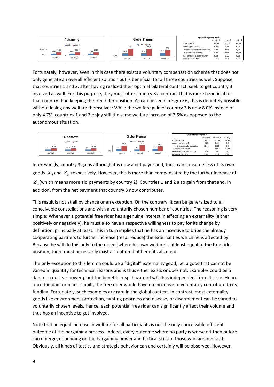

Fortunately, however, even in this case there exists a voluntary compensation scheme that does not only generate an overall efficient solution but is beneficial for all three countries as well. Suppose that countries 1 and 2, after having realized their optimal bilateral contract, seek to get country 3 involved as well. For this purpose, they must offer country 3 a contract that is more beneficial for that country than keeping the free rider position. As can be seen in Figure 6, this is definitely possible without losing any welfare themselves: While the welfare gain of country 3 is now 8.0% instead of only 4.7%, countries 1 and 2 enjoy still the same welfare increase of 2.5% as opposed to the autonomous situation.



Interestingly, country 3 gains although it is now a net payer and, thus, can consume less of its own goods  $\,X_3$  and  $\,Z_3\,$  respectively. However, this is more than compensated by the further increase of  $Z_{\rm _2}$  (which means more aid payments by country 2). Countries 1 and 2 also gain from that and, in addition, from the net payment that country 3 now contributes.

This result is not at all by chance or an exception. On the contrary, it can be generalized to all conceivable constellations and with a voluntarily chosen number of countries. The reasoning is very simple: Whenever a potential free rider has a genuine interest in affecting an externality (either positively or negatively), he must also have a respective willingness to pay for its change by definition, principally at least. This in turn implies that he has an incentive to bribe the already cooperating partners to further increase (resp. reduce) the externalities which he is affected by. Because he will do this only to the extent where his own welfare is at least equal to the free rider position, there must necessarily exist a solution that benefits all, q.e.d.

The only exception to this lemma could be a "digital" externality good, i.e. a good that cannot be varied in quantity for technical reasons and is thus either exists or does not. Examples could be a dam or a nuclear power plant the benefits resp. hazard of which is independent from its size. Hence, once the dam or plant is built, the free rider would have no incentive to voluntarily contribute to its funding. Fortunately, such examples are rare in the global context. In contrast, most externality goods like environment protection, fighting poorness and disease, or disarmament can be varied to voluntarily chosen levels. Hence, each potential free rider can significantly affect their volume and thus has an incentive to get involved.

Note that an equal increase in welfare for all participants is not the only conceivable efficient outcome of the bargaining process. Indeed, every outcome where no party is worse off than before can emerge, depending on the bargaining power and tactical skills of those who are involved. Obviously, all kinds of tactics and strategic behavior can and certainly will be observed. However,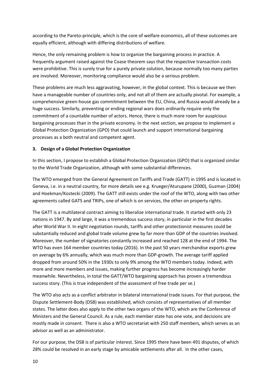according to the Pareto-principle, which is the core of welfare economics, all of these outcomes are equally efficient, although with differing distributions of welfare.

Hence, the only remaining problem is how to organize the bargaining process in practice. A frequently argument raised against the Coase theorem says that the respective transaction costs were prohibitive. This is surely true for a purely private solution, because normally too many parties are involved. Moreover, monitoring compliance would also be a serious problem.

These problems are much less aggravating, however, in the global context. This is because we then have a manageable number of countries only, and not all of them are actually pivotal. For example, a comprehensive green-house gas commitment between the EU, China, and Russia would already be a huge success. Similarly, preventing or ending regional wars does ordinarily require only the commitment of a countable number of actors. Hence, there is much more room for auspicious bargaining processes than in the private economy. In the next section, we propose to implement a Global Protection Organization (GPO) that could launch and support international bargaining processes as a both neutral and competent agent.

#### **3. Design of a Global Protection Organization**

In this section, I propose to establish a Global Protection Organization (GPO) that is organized similar to the World Trade Organization, although with some substantial differences.

The WTO emerged from the General Agreement on Tariffs and Trade (GATT) in 1995 and is located in Geneva, i.e. in a neutral country, for more details see e.g. Krueger/Aturupane (2000), Guzman (2004) and Hoekman/Kostecki (2009). The GATT still exists under the roof of the WTO, along with two other agreements called GATS and TRIPs, one of which is on services, the other on property rights.

The GATT is a multilateral contract aiming to liberalize international trade. It started with only 23 nations in 1947. By and large, it was a tremendous success story, in particular in the first decades after World War II. In eight negotiation rounds, tariffs and other protectionist measures could be substantially reduced and global trade volume grew by far more than GDP of the countries involved. Moreover, the number of signatories constantly increased and reached 128 at the end of 1994. The WTO has even 164 member countries today (2016). In the past 50 years merchandise exports grew on average by 6% annually, which was much more than GDP-growth. The average tariff applied dropped from around 50% in the 1930s to only 9% among the WTO members today. Indeed, with more and more members and issues, making further progress has become increasingly harder meanwhile. Nevertheless, in total the GATT/WTO bargaining approach has proven a tremendous success story. (This is true independent of the assessment of free trade per se.)

The WTO also acts as a conflict arbitrator in bilateral international trade issues. For that purpose, the Dispute Settlement-Body (DSB) was established, which consists of representatives of all member states. The latter does also apply to the other two organs of the WTO, which are the Conference of Ministers and the General Council. As a rule, each member state has one vote, and decisions are mostly made in consent. There is also a WTO secretariat with 250 staff members, which serves as an advisor as well as an administrator.

For our purpose, the DSB is of particular interest. Since 1995 there have been 491 disputes, of which 28% could be resolved in an early stage by amicable settlements after all. In the other cases,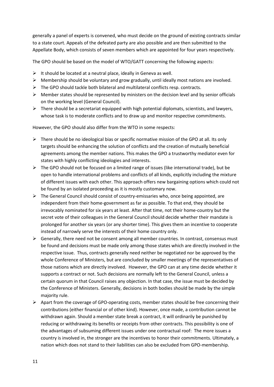generally a panel of experts is convened, who must decide on the ground of existing contracts similar to a state court. Appeals of the defeated party are also possible and are then submitted to the Appellate Body, which consists of seven members which are appointed for four years respectively.

The GPO should be based on the model of WTO/GATT concerning the following aspects:

- $\triangleright$  It should be located at a neutral place, ideally in Geneva as well.
- $\triangleright$  Membership should be voluntary and grow gradually, until ideally most nations are involved.
- $\triangleright$  The GPO should tackle both bilateral and multilateral conflicts resp. contracts.
- $\triangleright$  Member states should be represented by ministers on the decision level and by senior officials on the working level (General Council).
- $\triangleright$  There should be a secretariat equipped with high potential diplomats, scientists, and lawyers, whose task is to moderate conflicts and to draw up and monitor respective commitments.

However, the GPO should also differ from the WTO in some respects:

- $\triangleright$  There should be no ideological bias or specific normative mission of the GPO at all. Its only targets should be enhancing the solution of conflicts and the creation of mutually beneficial agreements among the member nations. This makes the GPO a trustworthy mediator even for states with highly conflicting ideologies and interests.
- $\triangleright$  The GPO should not be focused on a limited range of issues (like international trade), but be open to handle international problems and conflicts of all kinds, explicitly including the mixture of different issues with each other. This approach offers new bargaining options which could not be found by an isolated proceeding as it is mostly customary now.
- $\triangleright$  The General Council should consist of country-emissaries who, once being appointed, are independent from their home-government as far as possible. To that end, they should be irrevocably nominated for six years at least. After that time, not their home-country but the secret vote of their colleagues in the General Council should decide whether their mandate is prolonged for another six years (or any shorter time). This gives them an incentive to cooperate instead of narrowly serve the interests of their home country only.
- $\triangleright$  Generally, there need not be consent among all member countries. In contrast, consensus must be found and decisions must be made only among those states which are directly involved in the respective issue. Thus, contracts generally need neither be negotiated nor be approved by the whole Conference of Ministers, but are concluded by smaller meetings of the representatives of those nations which are directly involved. However, the GPO can at any time decide whether it supports a contract or not. Such decisions are normally left to the General Council, unless a certain quorum in that Council raises any objection. In that case, the issue must be decided by the Conference of Ministers. Generally, decisions in both bodies should be made by the simple majority rule.
- $\triangleright$  Apart from the coverage of GPO-operating costs, member states should be free concerning their contributions (either financial or of other kind). However, once made, a contribution cannot be withdrawn again. Should a member state break a contract, it will ordinarily be punished by reducing or withdrawing its benefits or receipts from other contracts. This possibility is one of the advantages of subsuming different issues under one contractual roof: The more issues a country is involved in, the stronger are the incentives to honor their commitments. Ultimately, a nation which does not stand to their liabilities can also be excluded from GPO-membership.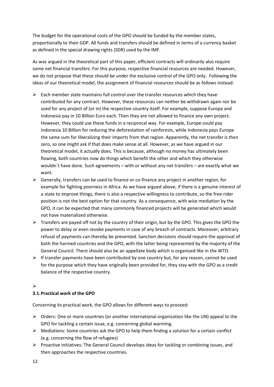The budget for the operational costs of the GPO should be funded by the member states, proportionally to their GDP. All funds and transfers should be defined in terms of a currency basket as defined in the special drawing rights (SDR) used by the IMF.

As was argued in the theoretical part of this paper, efficient contracts will ordinarily also require some net financial transfers. For this purpose, respective financial resources are needed. However, we do not propose that these should be under the exclusive control of the GPO only. Following the ideas of our theoretical model, the assignment of financial resources should be as follows instead:

- $\triangleright$  Each member state maintains full control over the transfer resources which they have contributed for any contract. However, these resources can neither be withdrawn again nor be used for any project of (or in) the respective country itself. For example, suppose Europa and Indonesia pay in 10 Billion Euro each. Then they are not allowed to finance any own project. However, they could use these funds in a reciprocal way. For example, Europe could pay Indonesia 10 Billion for reducing the deforestation of rainforests, while Indonesia pays Europe the same sum for liberalizing their imports from that region. Apparently, the net transfer is then zero, so one might ask if that does make sense at all. However, as we have argued in our theoretical model, it actually does. This is because, although no money has ultimately been flowing, both countries now do things which benefit the other and which they otherwise wouldn´t have done. Such agreements – with or without any net transfers – are exactly what we want.
- $\triangleright$  Generally, transfers can be used to finance or co-finance any project in another region, for example for fighting poorness in Africa. As we have argued above, if there is a genuine interest of a state to improve things, there is also a respective willingness to contribute, so the free-rider position is not the best option for that country. As a consequence, with wise mediation by the GPO, it can be expected that many commonly financed projects will be generated which would not have materialized otherwise.
- $\triangleright$  Transfers are payed off not by the country of their origin, but by the GPO. This gives the GPO the power to delay or even revoke payments in case of any breach of contracts. Moreover, arbitrary refusal of payments can thereby be prevented. Sanction decisions should require the approval of both the harmed countries and the GPO, with the latter being represented by the majority of the General Council. There should also be an appellate body which is organized like in the WTO.
- $\triangleright$  If transfer payments have been contributed by one country but, for any reason, cannot be used for the purpose which they have originally been provided for, they stay with the GPO as a credit balance of the respective country.

# $\blacktriangleright$

# **3.1.Practical work of the GPO**

Concerning its practical work, the GPO allows for different ways to proceed:

- $\triangleright$  Orders: One or more countries (or another international organization like the UN) appeal to the GPO for tackling a certain issue, e.g. concerning global warming.
- $\triangleright$  Mediations: Some countries ask the GPO to help them finding a solution for a certain conflict (e.g. concerning the flow of refugees)
- $\triangleright$  Proactive initiatives: The General Council develops ideas for tackling or combining issues, and then approaches the respective countries.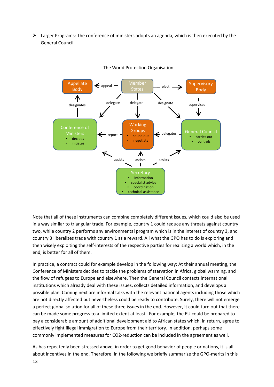$\triangleright$  Larger Programs: The conference of ministers adopts an agenda, which is then executed by the General Council.



#### The World Protection Organisation

Note that all of these instruments can combine completely different issues, which could also be used in a way similar to triangular trade. For example, country 1 could reduce any threats against country two, while country 2 performs any environmental program which is in the interest of country 3, and country 3 liberalizes trade with country 1 as a reward. All what the GPO has to do is exploring and then wisely exploiting the self-interests of the respective parties for realizing a world which, in the end, is better for all of them.

In practice, a contract could for example develop in the following way: At their annual meeting, the Conference of Ministers decides to tackle the problems of starvation in Africa, global warming, and the flow of refugees to Europe and elsewhere. Then the General Council contacts international institutions which already deal with these issues, collects detailed information, and develops a possible plan. Coming next are informal talks with the relevant national agents including those which are not directly affected but nevertheless could be ready to contribute. Surely, there will not emerge a perfect global solution for all of these three issues in the end. However, it could turn out that there can be made some progress to a limited extent at least. For example, the EU could be prepared to pay a considerable amount of additional development aid to African states which, in return, agree to effectively fight illegal immigration to Europe from their territory. In addition, perhaps some commonly implemented measures for CO2-reduction can be included in the agreement as well.

As has repeatedly been stressed above, in order to get good behavior of people or nations, it is all about incentives in the end. Therefore, in the following we briefly summarize the GPO-merits in this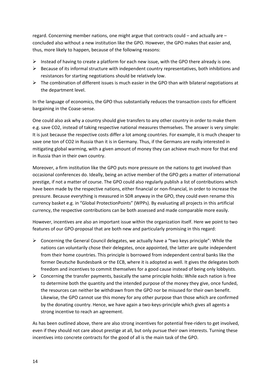regard. Concerning member nations, one might argue that contracts could – and actually are – concluded also without a new institution like the GPO. However, the GPO makes that easier and, thus, more likely to happen, because of the following reasons:

- Instead of having to create a platform for each new issue, with the GPO there already is one.
- $\triangleright$  Because of its informal structure with independent country representatives, both inhibitions and resistances for starting negotiations should be relatively low.
- $\triangleright$  The combination of different issues is much easier in the GPO than with bilateral negotiations at the department level.

In the language of economics, the GPO thus substantially reduces the transaction costs for efficient bargaining in the Coase-sense.

One could also ask why a country should give transfers to any other country in order to make them e.g. save CO2, instead of taking respective national measures themselves. The answer is very simple: It is just because the respective costs differ a lot among countries. For example, it is much cheaper to save one ton of CO2 in Russia than it is in Germany. Thus, if the Germans are really interested in mitigating global warming, with a given amount of money they can achieve much more for that end in Russia than in their own country.

Moreover, a firm institution like the GPO puts more pressure on the nations to get involved than occasional conferences do. Ideally, being an active member of the GPO gets a matter of international prestige, if not a matter of course. The GPO could also regularly publish a list of contributions which have been made by the respective nations, either financial or non-financial, in order to increase the pressure. Because everything is measured in SDR anyway in the GPO, they could even rename this currency basket e.g. in "Global ProtectionPoints" (WPPs). By evaluating all projects in this artificial currency, the respective contributions can be both assessed and made comparable more easily.

However, incentives are also an important issue within the organization itself. Here we point to two features of our GPO-proposal that are both new and particularly promising in this regard:

- $\triangleright$  Concerning the General Council delegates, we actually have a "two keys principle": While the nations can voluntarily chose their delegates, once appointed, the latter are quite independent from their home countries. This principle is borrowed from independent central banks like the former Deutsche Bundesbank or the ECB, where it is adopted as well. It gives the delegates both freedom and incentives to commit themselves for a good cause instead of being only lobbyists.
- $\triangleright$  Concerning the transfer payments, basically the same principle holds: While each nation is free to determine both the quantity and the intended purpose of the money they give, once funded, the resources can neither be withdrawn from the GPO nor be misused for their own benefit. Likewise, the GPO cannot use this money for any other purpose than those which are confirmed by the donating country. Hence, we have again a two-keys-principle which gives all agents a strong incentive to reach an agreement.

As has been outlined above, there are also strong incentives for potential free-riders to get involved, even if they should not care about prestige at all, but only pursue their own interests. Turning these incentives into concrete contracts for the good of all is the main task of the GPO.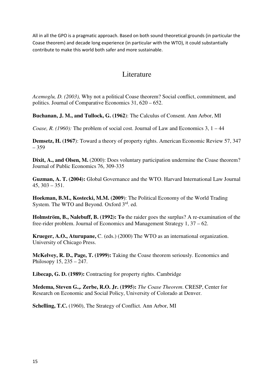All in all the GPO is a pragmatic approach. Based on both sound theoretical grounds (in particular the Coase theorem) and decade long experience (in particular with the WTO), it could substantially contribute to make this world both safer and more sustainable.

# Literature

*Acemoglu, D. (2003),* Why not a political Coase theorem? Social conflict, commitment, and politics. Journal of Comparative Economics 31, 620 – 652.

**Buchanan, J. M., and Tullock, G. (1962**): The Calculus of Consent. Ann Arbor, MI

*Coase, R. (1960):* The problem of social cost. Journal of Law and Economics 3, 1 – 44

**Demsetz, H. (1967**): Toward a theory of property rights. American Economic Review 57, 347 – 359

**Dixit, A., and Olsen, M.** (2000): Does voluntary participation undermine the Coase theorem? Journal of Public Economics 76, 309-335

**Guzman, A. T. (2004):** Global Governance and the WTO. Harvard International Law Journal 45, 303 – 351.

**Hoekman, B.M., Kostecki, M.M. (2009**): The Political Economy of the World Trading System. The WTO and Beyond. Oxford  $3<sup>rd</sup>$ . ed.

**Holmström, B., Nalebuff, B. (1992): To** the raider goes the surplus? A re-examination of the free-rider problem. Journal of Economics and Management Strategy 1, 37 – 62.

**Krueger, A.O., Aturupane,** C. (eds.) (2000) The WTO as an international organization. University of Chicago Press.

**McKelvey, R. D., Page, T. (1999):** Taking the Coase theorem seriously. Economics and Philosopy 15, 235 – 247.

**Libecap, G. D. (1989):** Contracting for property rights. Cambridge

**Medema, Steven G.,. Zerbe, R.O. Jr. (1995):** *The Coase Theorem*. CRESP, Center for Research on Economic and Social Policy, University of Colorado at Denver.

**Schelling, T.C.** (1960), The Strategy of Conflict. Ann Arbor, MI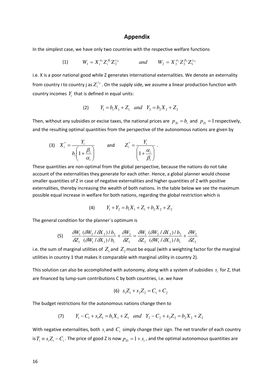#### **Appendix**

In the simplest case, we have only two countries with the respective welfare functions

(1) 
$$
W_1 = X_i^{\alpha_1} Z_i^{\beta_1} Z_2^{\gamma_{21}}
$$
 and  $W_2 = X_2^{\alpha_2} Z_2^{\beta_2} Z_1^{\gamma_{12}}$ 

i.e. X is a poor national good while Z generates international externalities. We denote an externality from country i to country j as  $Z_i^{\gamma_{ij}}$  . On the supply side, we assume a linear production function with country incomes  $Y_i$  that is defined in equal units:

(2) 
$$
Y_1 = b_1 X_1 + Z_1
$$
 and  $Y_2 = b_2 X_2 + Z_2$ 

Then, without any subsidies or excise taxes, the national prices are  $p_{xi} = b_i$  and  $p_{zi} = 1$  respectively, and the resulting optimal quantities from the perspective of the autonomous nations are given by

$$
\text{(3)} \quad X_i^* = \frac{Y_i}{b_i \left(1 + \frac{\beta_i}{\alpha_i}\right)} \qquad \text{and} \qquad Z_i^* = \frac{Y_i}{\left(1 + \frac{\alpha_i}{\beta_i}\right)} \,.
$$

These quantities are non-optimal from the global perspective, because the nations do not take account of the externalities they generate for each other. Hence, a global planner would choose smaller quantities of Z in case of negative externalities and higher quantities of Z with positive externalities, thereby increasing the wealth of both nations. In the table below we see the maximum possible equal increase in welfare for both nations, regarding the global restriction which is

$$
(4) \t Y_1 + Y_2 = b_1 X_1 + Z_1 + b_2 X_2 + Z_2
$$

The general condition for the planner`s optimum is

$$
(5) \qquad \frac{\delta W_1}{\delta Z_1} \frac{(\delta W_2 / \delta X_2) / b_2}{(\delta W_1 / \delta X_1) / b_1} + \frac{\delta W_2}{\delta Z_1} = \frac{\delta W_1}{\delta Z_2} \frac{(\delta W_2 / \delta X_2) / b_2}{(\delta W_1 / \delta X_1) / b_1} + \frac{\delta W_2}{\delta Z_2}
$$

i.e. the sum of marginal utilities of  $Z_1$  and  $Z_2$  must be equal (with a weighting factor for the marginal utilities in country 1 that makes it comparable with marginal utility in country 2).

This solution can also be accomplished with autonomy, along with a system of subsidies  $s_i$  for Z, that are financed by lump-sum contributions C by both countries, i.e. we have

$$
(6) \ \ s_1 Z_1 + s_2 Z_2 = C_1 + C_2
$$

The budget restrictions for the autonomous nations change then to

(7) 
$$
Y_1 - C_1 + s_1 Z_1 = b_1 X_1 + Z_1
$$
 and  $Y_2 - C_2 + s_2 Z_2 = b_2 X_2 + Z_2$ 

With negative externalities, both  $s_i$  and  $C_i$  simply change their sign. The net transfer of each country is  $T_i \equiv s_i Z_i - C_i$ . The price of good Z is now  $p_{Zi} = 1 + s_i$ , and the optimal autonomous quantities are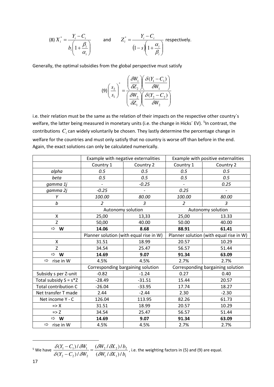(8) 
$$
X_i^* = \frac{Y_i - C_i}{b_i \left(1 + \frac{\beta_i}{\alpha_i}\right)}
$$
 and  $Z_i^* = \frac{Y_i - C_i}{\left(1 - s\left(1 + \frac{\alpha_i}{\beta_i}\right)\right)}$  respectively.

Generally, the optimal subsidies from the global perspective must satisfy

$$
(9)\left(\frac{s_2}{s_1}\right)^{*} = \frac{\left(\frac{\partial W_1}{\partial Z_2}\right)\left(\frac{\partial (Y_1 - C_1)}{\partial W_1}\right)}{\left(\frac{\partial W_2}{\partial Z_1}\right)\left(\frac{\partial (Y_2 - C_2)}{\partial W_2}\right)}
$$

i.e. their relation must be the same as the relation of their impacts on the respective other country`s welfare, the latter being measured in monetary units (i.e. the change in Hicks´ EV). <sup>[5](#page-17-0)</sup>In contrast, the contributions  $C_i$  can widely voluntarily be chosen. They lastly determine the percentage change in welfare for the countries and must only satisfy that no country is worse off than before in the end. Again, the exact solutions can only be calculated numerically.

|                             |                          | Example with negative externalities     | Example with positive externalities     |                |  |
|-----------------------------|--------------------------|-----------------------------------------|-----------------------------------------|----------------|--|
|                             | Country 1                | Country 2                               | Country 1                               | Country 2      |  |
| alpha                       | 0.5                      | 0.5                                     | 0.5                                     | 0.5            |  |
| beta                        | 0.5                      | 0.5                                     | 0.5                                     | 0.5            |  |
| gamma 1j                    | $\overline{\phantom{a}}$ | $-0.25$                                 | $\blacksquare$                          | 0.25           |  |
| gamma 2j                    | $-0.25$                  |                                         | 0.25                                    |                |  |
| Υ                           | 100.00                   | 80.00                                   | 100.00                                  | 80.00          |  |
| b                           | $\overline{2}$           | 3                                       | $\overline{a}$                          | $\mathfrak{Z}$ |  |
|                             | Autonomy solution        |                                         | Autonomy solution                       |                |  |
| X                           | 25,00                    | 13,33                                   | 25,00                                   | 13.33          |  |
| Z                           | 50,00                    | 40.00                                   | 50.00                                   | 40.00          |  |
| $\Rightarrow$ W             | 14.06                    | 8.68                                    | 88.91                                   | 61.41          |  |
|                             |                          | Planner solution (with equal rise in W) | Planner solution (with equal rise in W) |                |  |
| X                           | 31.51                    | 18.99                                   | 20.57                                   | 10.29          |  |
| Z                           | 34.54                    | 25.47                                   | 56.57                                   | 51.44          |  |
| $\Rightarrow$ W             | 14.69                    | 9.07                                    | 91.34                                   | 63.09          |  |
| $\Rightarrow$<br>rise in W  | 4.5%                     | 4.5%                                    | 2.7%                                    | 2.7%           |  |
|                             |                          | Corresponding bargaining solution       | Corresponding bargaining solution       |                |  |
| Subsidy s per Z-unit        | $-0.82$                  | $-1.24$                                 | 0.27                                    | 0.40           |  |
| Total subsidy $S = s^*Z$    | $-28.49$                 | $-31.51$                                | 15.44                                   | 20.57          |  |
| <b>Total contribution C</b> | $-26.04$                 | $-33.95$                                | 17.74                                   | 18.27          |  |
| Net transfer T made         | 2.44                     | $-2.44$                                 | 2.30                                    | $-2.30$        |  |
| Net income Y - C            | 126.04                   | 113.95                                  | 82.26                                   | 61.73          |  |
| $\Rightarrow$ X             | 31.51                    | 18.99                                   | 20.57                                   | 10.29          |  |
| $\Rightarrow$ Z             | 34.54                    | 25.47                                   | 56.57                                   | 51.44          |  |
| $\Rightarrow$ W             | 14.69                    | 9.07                                    | 91.34                                   | 63.09          |  |
| $\Rightarrow$<br>rise in W  | 4.5%                     | 4.5%                                    | 2.7%                                    | 2.7%           |  |

<span id="page-17-0"></span>5 We have  $_1$   $\alpha$ <sub>1</sub> $_1$   $\alpha$ <sub>1</sub>  $\frac{2}{2}$   $\frac{0.2}{2}$ 2  $v_2$ *)*  $v_2$ <sup>2</sup>  $1 - \frac{C_1}{1}$  or  $1$  $(\delta W_1/\delta X_1)$  $(\delta W_2 / \delta X_2)$  $(Y_2 - C_2)$  $(Y_1 - C_1)$  $W_1 / \delta X_1$ )/b  $W_2 / \delta X_2$ )/b  $(Y_2 - C_2)$ / $\delta W$  $(Y_1 - C_1) / \delta W$  $\delta$ W, I  $\delta$  $\delta \! W_{\! \circ}$  /  $\delta \!$  $\delta(Y_{2}-C_{2})/\delta$  $\frac{\delta(Y_1 - C_1)/\delta W_1}{\delta Y_1} =$ −  $-\frac{C_1}{\delta}$ ,  $\delta W_1$  =  $\frac{(\delta W_2/\delta X_2)/b_2}{(\delta W_1/\delta X_2)/b_2}$ , i.e. the weighting factors in (5) and (9) are equal.

 $\overline{\phantom{a}}$